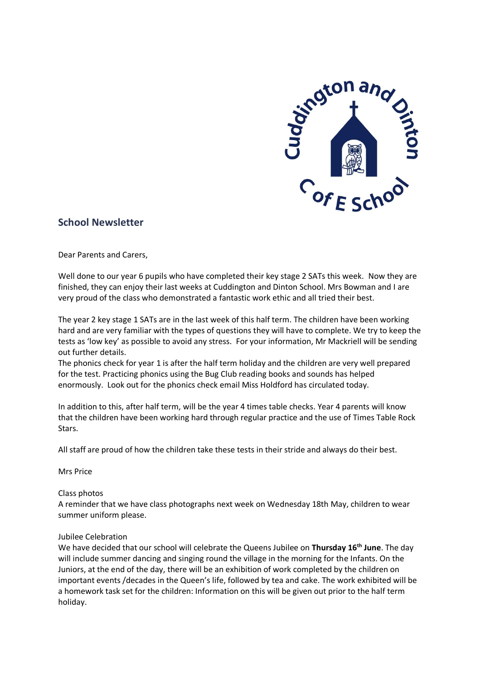

# **School Newsletter**

Dear Parents and Carers,

Well done to our year 6 pupils who have completed their key stage 2 SATs this week. Now they are finished, they can enjoy their last weeks at Cuddington and Dinton School. Mrs Bowman and I are very proud of the class who demonstrated a fantastic work ethic and all tried their best.

The year 2 key stage 1 SATs are in the last week of this half term. The children have been working hard and are very familiar with the types of questions they will have to complete. We try to keep the tests as 'low key' as possible to avoid any stress. For your information, Mr Mackriell will be sending out further details.

The phonics check for year 1 is after the half term holiday and the children are very well prepared for the test. Practicing phonics using the Bug Club reading books and sounds has helped enormously. Look out for the phonics check email Miss Holdford has circulated today.

In addition to this, after half term, will be the year 4 times table checks. Year 4 parents will know that the children have been working hard through regular practice and the use of Times Table Rock Stars.

All staff are proud of how the children take these tests in their stride and always do their best.

Mrs Price

#### Class photos

A reminder that we have class photographs next week on Wednesday 18th May, children to wear summer uniform please.

#### Jubilee Celebration

We have decided that our school will celebrate the Queens Jubilee on **Thursday 16th June**. The day will include summer dancing and singing round the village in the morning for the Infants. On the Juniors, at the end of the day, there will be an exhibition of work completed by the children on important events /decades in the Queen's life, followed by tea and cake. The work exhibited will be a homework task set for the children: Information on this will be given out prior to the half term holiday.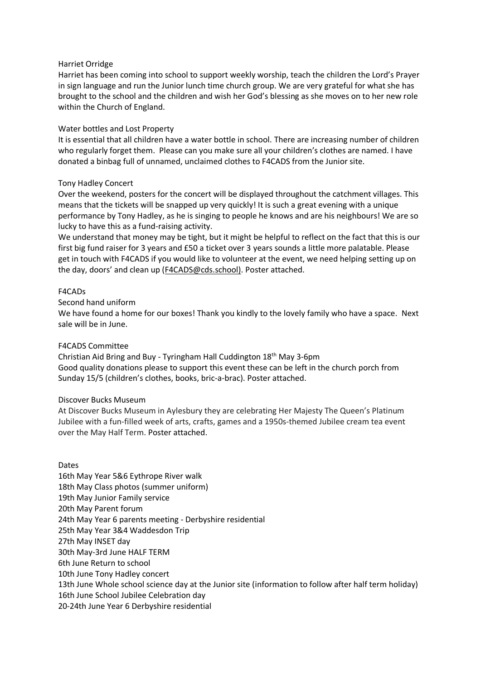#### Harriet Orridge

Harriet has been coming into school to support weekly worship, teach the children the Lord's Prayer in sign language and run the Junior lunch time church group. We are very grateful for what she has brought to the school and the children and wish her God's blessing as she moves on to her new role within the Church of England.

# Water bottles and Lost Property

It is essential that all children have a water bottle in school. There are increasing number of children who regularly forget them. Please can you make sure all your children's clothes are named. I have donated a binbag full of unnamed, unclaimed clothes to F4CADS from the Junior site.

# Tony Hadley Concert

Over the weekend, posters for the concert will be displayed throughout the catchment villages. This means that the tickets will be snapped up very quickly! It is such a great evening with a unique performance by Tony Hadley, as he is singing to people he knows and are his neighbours! We are so lucky to have this as a fund-raising activity.

We understand that money may be tight, but it might be helpful to reflect on the fact that this is our first big fund raiser for 3 years and £50 a ticket over 3 years sounds a little more palatable. Please get in touch with F4CADS if you would like to volunteer at the event, we need helping setting up on the day, doors' and clean up ([F4CADS@cds.school\)](mailto:F4CADS@cds.school). Poster attached.

# F4CADs

Second hand uniform

We have found a home for our boxes! Thank you kindly to the lovely family who have a space. Next sale will be in June.

# F4CADS Committee

Christian Aid Bring and Buy - Tyringham Hall Cuddington 18th May 3-6pm Good quality donations please to support this event these can be left in the church porch from Sunday 15/5 (children's clothes, books, bric-a-brac). Poster attached.

#### Discover Bucks Museum

At Discover Bucks Museum in Aylesbury they are celebrating Her Majesty The Queen's Platinum Jubilee with a fun-filled week of arts, crafts, games and a 1950s-themed Jubilee cream tea event over the May Half Term. Poster attached.

Dates 16th May Year 5&6 Eythrope River walk 18th May Class photos (summer uniform) 19th May Junior Family service 20th May Parent forum 24th May Year 6 parents meeting - Derbyshire residential 25th May Year 3&4 Waddesdon Trip 27th May INSET day 30th May-3rd June HALF TERM 6th June Return to school 10th June Tony Hadley concert 13th June Whole school science day at the Junior site (information to follow after half term holiday) 16th June School Jubilee Celebration day 20-24th June Year 6 Derbyshire residential